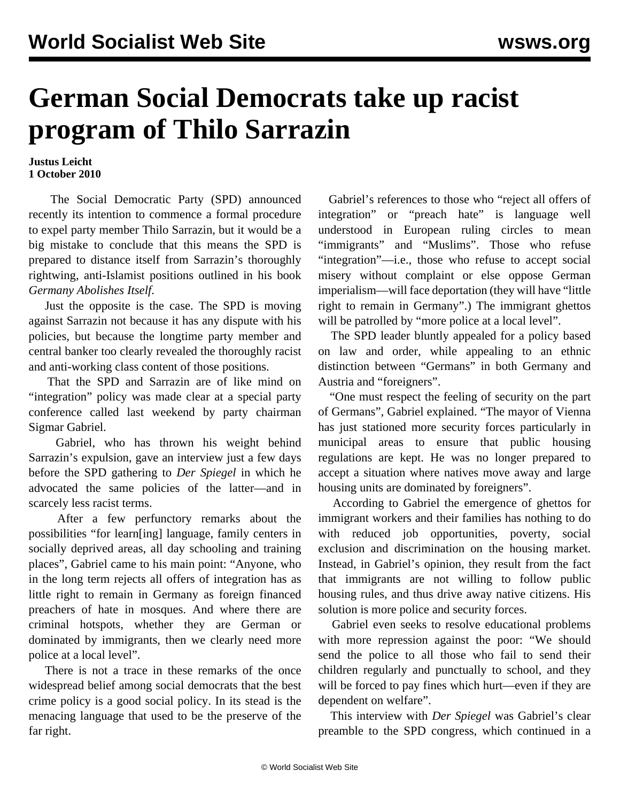## **German Social Democrats take up racist program of Thilo Sarrazin**

## **Justus Leicht 1 October 2010**

 The Social Democratic Party (SPD) announced recently its intention to commence a formal procedure to expel party member Thilo Sarrazin, but it would be a big mistake to conclude that this means the SPD is prepared to distance itself from Sarrazin's thoroughly rightwing, anti-Islamist positions outlined in his book *Germany Abolishes Itself*.

 Just the opposite is the case. The SPD is moving against Sarrazin not because it has any dispute with his policies, but because the longtime party member and central banker too clearly revealed the thoroughly racist and anti-working class content of those positions.

 That the SPD and Sarrazin are of like mind on "integration" policy was made clear at a special party conference called last weekend by party chairman Sigmar Gabriel.

 Gabriel, who has thrown his weight behind Sarrazin's expulsion, gave an interview just a few days before the SPD gathering to *Der Spiegel* in which he advocated the same policies of the latter—and in scarcely less racist terms.

 After a few perfunctory remarks about the possibilities "for learn[ing] language, family centers in socially deprived areas, all day schooling and training places", Gabriel came to his main point: "Anyone, who in the long term rejects all offers of integration has as little right to remain in Germany as foreign financed preachers of hate in mosques. And where there are criminal hotspots, whether they are German or dominated by immigrants, then we clearly need more police at a local level".

 There is not a trace in these remarks of the once widespread belief among social democrats that the best crime policy is a good social policy. In its stead is the menacing language that used to be the preserve of the far right.

 Gabriel's references to those who "reject all offers of integration" or "preach hate" is language well understood in European ruling circles to mean "immigrants" and "Muslims". Those who refuse "integration"—i.e., those who refuse to accept social misery without complaint or else oppose German imperialism—will face deportation (they will have "little right to remain in Germany".) The immigrant ghettos will be patrolled by "more police at a local level".

 The SPD leader bluntly appealed for a policy based on law and order, while appealing to an ethnic distinction between "Germans" in both Germany and Austria and "foreigners".

 "One must respect the feeling of security on the part of Germans", Gabriel explained. "The mayor of Vienna has just stationed more security forces particularly in municipal areas to ensure that public housing regulations are kept. He was no longer prepared to accept a situation where natives move away and large housing units are dominated by foreigners".

 According to Gabriel the emergence of ghettos for immigrant workers and their families has nothing to do with reduced job opportunities, poverty, social exclusion and discrimination on the housing market. Instead, in Gabriel's opinion, they result from the fact that immigrants are not willing to follow public housing rules, and thus drive away native citizens. His solution is more police and security forces.

 Gabriel even seeks to resolve educational problems with more repression against the poor: "We should send the police to all those who fail to send their children regularly and punctually to school, and they will be forced to pay fines which hurt—even if they are dependent on welfare".

 This interview with *Der Spiegel* was Gabriel's clear preamble to the SPD congress, which continued in a